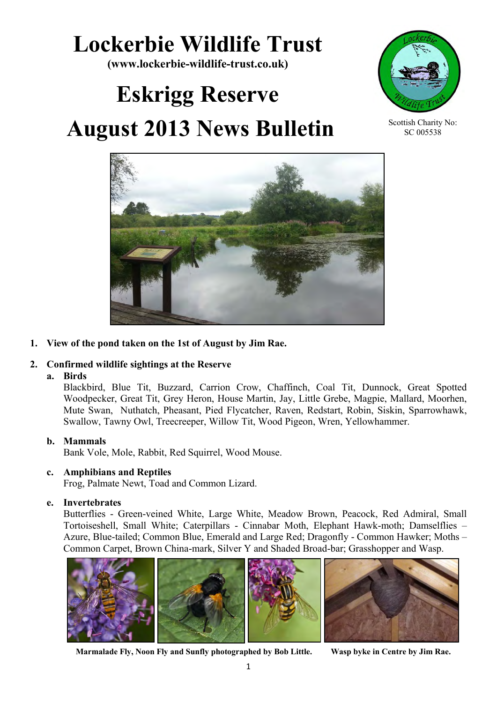# **Lockerbie Wildlife Trust**

**(www.lockerbie-wildlife-trust.co.uk)** 

# **Eskrigg Reserve**

# **August 2013 News Bulletin**



Scottish Charity No: SC 005538



# **1. View of the pond taken on the 1st of August by Jim Rae.**

# **2. Confirmed wildlife sightings at the Reserve**

## **a. Birds**

Blackbird, Blue Tit, Buzzard, Carrion Crow, Chaffinch, Coal Tit, Dunnock, Great Spotted Woodpecker, Great Tit, Grey Heron, House Martin, Jay, Little Grebe, Magpie, Mallard, Moorhen, Mute Swan, Nuthatch, Pheasant, Pied Flycatcher, Raven, Redstart, Robin, Siskin, Sparrowhawk, Swallow, Tawny Owl, Treecreeper, Willow Tit, Wood Pigeon, Wren, Yellowhammer.

## **b. Mammals**

Bank Vole, Mole, Rabbit, Red Squirrel, Wood Mouse.

## **c. Amphibians and Reptiles**

Frog, Palmate Newt, Toad and Common Lizard.

## **e. Invertebrates**

 Butterflies - Green-veined White, Large White, Meadow Brown, Peacock, Red Admiral, Small Tortoiseshell, Small White; Caterpillars - Cinnabar Moth, Elephant Hawk-moth; Damselflies – Azure, Blue-tailed; Common Blue, Emerald and Large Red; Dragonfly - Common Hawker; Moths – Common Carpet, Brown China-mark, Silver Y and Shaded Broad-bar; Grasshopper and Wasp.



 **Marmalade Fly, Noon Fly and Sunfly photographed by Bob Little. Wasp byke in Centre by Jim Rae.**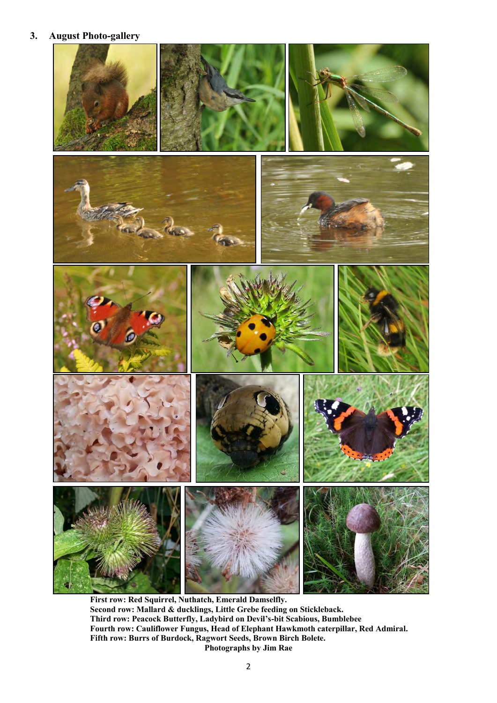## **3. August Photo-gallery**



**First row: Red Squirrel, Nuthatch, Emerald Damselfly. Second row: Mallard & ducklings, Little Grebe feeding on Stickleback. Third row: Peacock Butterfly, Ladybird on Devil's-bit Scabious, Bumblebee Fourth row: Cauliflower Fungus, Head of Elephant Hawkmoth caterpillar, Red Admiral. Fifth row: Burrs of Burdock, Ragwort Seeds, Brown Birch Bolete. Photographs by Jim Rae**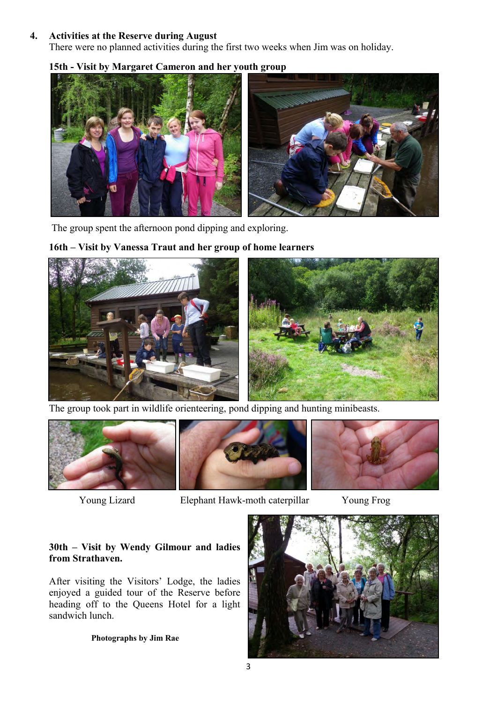#### **4. Activities at the Reserve during August**

There were no planned activities during the first two weeks when Jim was on holiday.

# **15th - Visit by Margaret Cameron and her youth group**



The group spent the afternoon pond dipping and exploring.

## **16th – Visit by Vanessa Traut and her group of home learners**



The group took part in wildlife orienteering, pond dipping and hunting minibeasts.





Young Lizard Elephant Hawk-moth caterpillar Young Frog

#### **30th – Visit by Wendy Gilmour and ladies from Strathaven.**

After visiting the Visitors' Lodge, the ladies enjoyed a guided tour of the Reserve before heading off to the Queens Hotel for a light sandwich lunch.

#### **Photographs by Jim Rae**

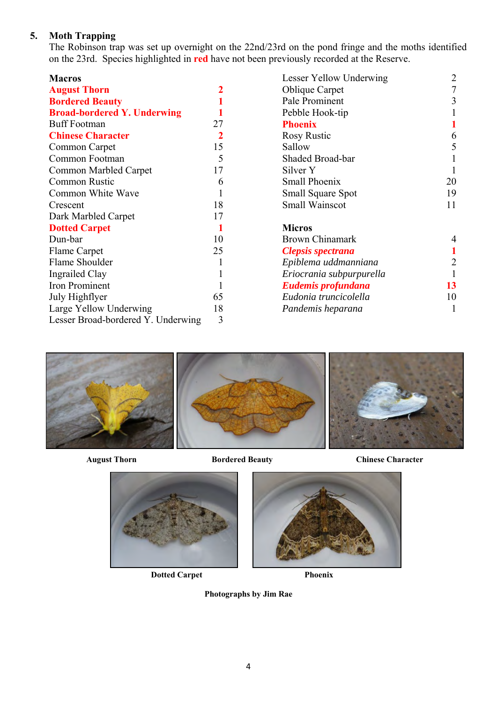# **5. Moth Trapping**

The Robinson trap was set up overnight on the 22nd/23rd on the pond fringe and the moths identified on the 23rd. Species highlighted in **red** have not been previously recorded at the Reserve.

| <b>Macros</b>                      |    | Lesser Yellow Underwing  | $\overline{2}$ |
|------------------------------------|----|--------------------------|----------------|
| <b>August Thorn</b>                |    | <b>Oblique Carpet</b>    |                |
| <b>Bordered Beauty</b>             |    | Pale Prominent           | 3              |
| <b>Broad-bordered Y. Underwing</b> |    | Pebble Hook-tip          |                |
| <b>Buff Footman</b>                | 27 | <b>Phoenix</b>           |                |
| <b>Chinese Character</b>           |    | <b>Rosy Rustic</b>       | 6              |
| Common Carpet                      | 15 | Sallow                   | 5              |
| Common Footman                     | 5  | Shaded Broad-bar         |                |
| Common Marbled Carpet              | 17 | Silver Y                 |                |
| <b>Common Rustic</b>               | 6  | <b>Small Phoenix</b>     | 20             |
| Common White Wave                  |    | Small Square Spot        | 19             |
| Crescent                           | 18 | Small Wainscot           | 11             |
| Dark Marbled Carpet                | 17 |                          |                |
| <b>Dotted Carpet</b>               |    | <b>Micros</b>            |                |
| Dun-bar                            | 10 | <b>Brown Chinamark</b>   |                |
| Flame Carpet                       | 25 | <b>Clepsis spectrana</b> |                |
| Flame Shoulder                     |    | Epiblema uddmanniana     |                |
| <b>Ingrailed Clay</b>              |    | Eriocrania subpurpurella |                |
| Iron Prominent                     |    | Eudemis profundana       | 13             |
| July Highflyer                     | 65 | Eudonia truncicolella    | 10             |
| Large Yellow Underwing             | 18 | Pandemis heparana        |                |
| Lesser Broad-bordered Y. Underwing | 3  |                          |                |



August Thorn **Bordered Beauty** Chinese Character



**Dotted Carpet Phoenix** 



**Photographs by Jim Rae**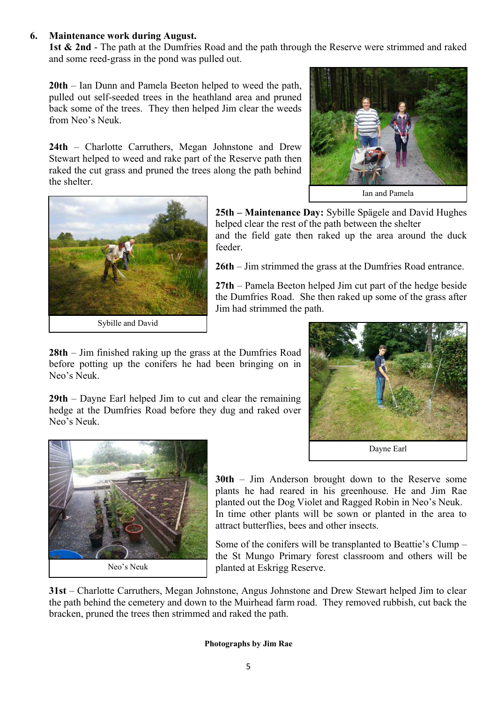#### **6. Maintenance work during August.**

**1st & 2nd** - The path at the Dumfries Road and the path through the Reserve were strimmed and raked and some reed-grass in the pond was pulled out.

**20th** – Ian Dunn and Pamela Beeton helped to weed the path, pulled out self-seeded trees in the heathland area and pruned back some of the trees. They then helped Jim clear the weeds from Neo's Neuk.

**24th** – Charlotte Carruthers, Megan Johnstone and Drew Stewart helped to weed and rake part of the Reserve path then raked the cut grass and pruned the trees along the path behind the shelter.







**25th – Maintenance Day:** Sybille Spägele and David Hughes helped clear the rest of the path between the shelter and the field gate then raked up the area around the duck feeder.

**26th** – Jim strimmed the grass at the Dumfries Road entrance.

**27th** – Pamela Beeton helped Jim cut part of the hedge beside the Dumfries Road. She then raked up some of the grass after Jim had strimmed the path.

**28th** – Jim finished raking up the grass at the Dumfries Road before potting up the conifers he had been bringing on in Neo's Neuk.

**29th** – Dayne Earl helped Jim to cut and clear the remaining hedge at the Dumfries Road before they dug and raked over Neo's Neuk.





**30th** – Jim Anderson brought down to the Reserve some plants he had reared in his greenhouse. He and Jim Rae planted out the Dog Violet and Ragged Robin in Neo's Neuk. In time other plants will be sown or planted in the area to attract butterflies, bees and other insects.

Some of the conifers will be transplanted to Beattie's Clump – the St Mungo Primary forest classroom and others will be planted at Eskrigg Reserve.

**31st** – Charlotte Carruthers, Megan Johnstone, Angus Johnstone and Drew Stewart helped Jim to clear the path behind the cemetery and down to the Muirhead farm road. They removed rubbish, cut back the bracken, pruned the trees then strimmed and raked the path.

#### **Photographs by Jim Rae**